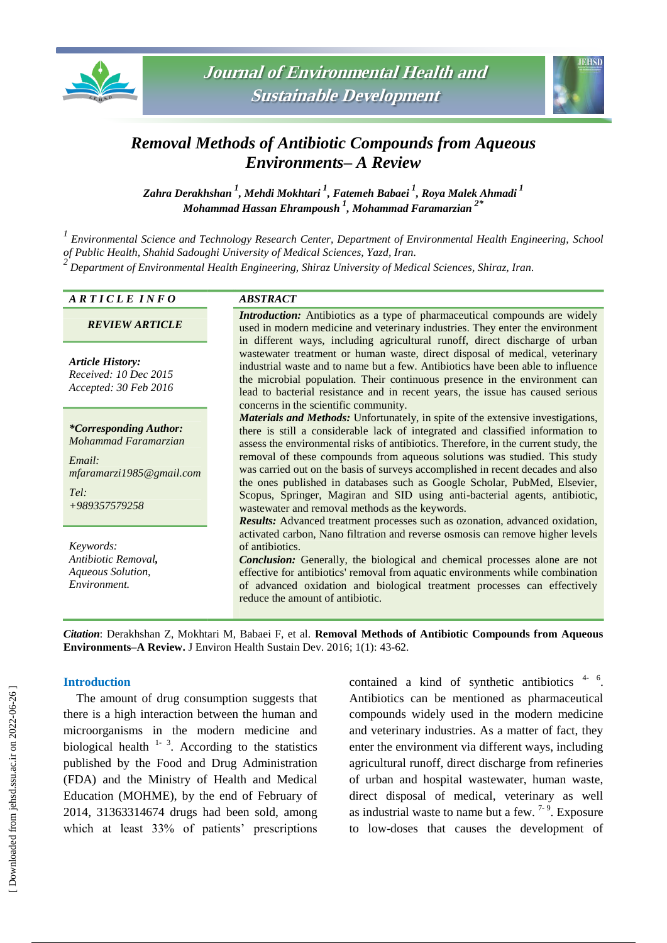



# *Removal Methods of Antibiotic Compounds from Aqueous Environments– A Review*

*Zahra Derakhshan <sup>1</sup> , Mehdi Mokhtari <sup>1</sup> , Fatemeh Babaei <sup>1</sup> , Roya Malek Ahmadi <sup>1</sup> Mohammad Hassan Ehrampoush <sup>1</sup> , Mohammad Faramarzian 2\**

*1 Environmental Science and Technology Research Center, Department of Environmental Health Engineering, School of Public Health, Shahid Sadoughi University of Medical Sciences, Yazd, Iran. 2 Department of Environmental Health Engineering, Shiraz University of Medical Sciences, Shiraz, Iran.*

#### *A R T I C L E I N F O ABSTRACT*

*REVIEW ARTICLE*

*Article History: Received: 10 Dec 2015 Accepted: 30 Feb 2016*

*\*Corresponding Author: Mohammad Faramarzian*

*Email: mfaramarzi1985@gmail.com*

*Tel: +989357579258*

*Keywords: Antibiotic Removal, Aqueous Solution, Environment.*

*Introduction:* Antibiotics as a type of pharmaceutical compounds are widely used in modern medicine and veterinary industries. They enter the environment in different ways, including agricultural runoff, direct discharge of urban wastewater treatment or human waste, direct disposal of medical, veterinary industrial waste and to name but a few. Antibiotics have been able to influence the microbial population. Their continuous presence in the environment can lead to bacterial resistance and in recent years, the issue has caused serious concerns in the scientific community.

*Materials and Methods:* Unfortunately, in spite of the extensive investigations, there is still a considerable lack of integrated and classified information to assess the environmental risks of antibiotics. Therefore, in the current study, the removal of these compounds from aqueous solutions was studied. This study was carried out on the basis of surveys accomplished in recent decades and also the ones published in databases such as Google Scholar, PubMed, Elsevier, Scopus, Springer, Magiran and SID using anti-bacterial agents, antibiotic, wastewater and removal methods as the keywords.

*Results:* Advanced treatment processes such as ozonation, advanced oxidation, activated carbon, Nano filtration and reverse osmosis can remove higher levels of antibiotics.

*Conclusion:* Generally, the biological and chemical processes alone are not effective for antibiotics' removal from aquatic environments while combination of advanced oxidation and biological treatment processes can effectively reduce the amount of antibiotic.

*Citation*: Derakhshan Z, Mokhtari M, Babaei F, et al. **Removal Methods of Antibiotic Compounds from Aqueous Environments–A Review.** J Environ Health Sustain Dev. 2016; 1(1): 43-62.

## **Introduction**

The amount of drug consumption suggests that there is a high interaction between the human and microorganisms in the modern medicine and biological health  $1 - 3$ . According to the statistics published by the Food and Drug Administration (FDA) and the Ministry of Health and Medical Education (MOHME), by the end of February of 2014, 31363314674 drugs had been sold, among which at least 33% of patients' prescriptions

contained a kind of synthetic antibiotics  $4 - 6$ . Antibiotics can be mentioned as pharmaceutical compounds widely used in the modern medicine and veterinary industries. As a matter of fact, they enter the environment via different ways, including agricultural runoff, direct discharge from refineries of urban and hospital wastewater, human waste, direct disposal of medical, veterinary as well as industrial waste to name but a few.  $7-9$ . Exposure to low-doses that causes the development of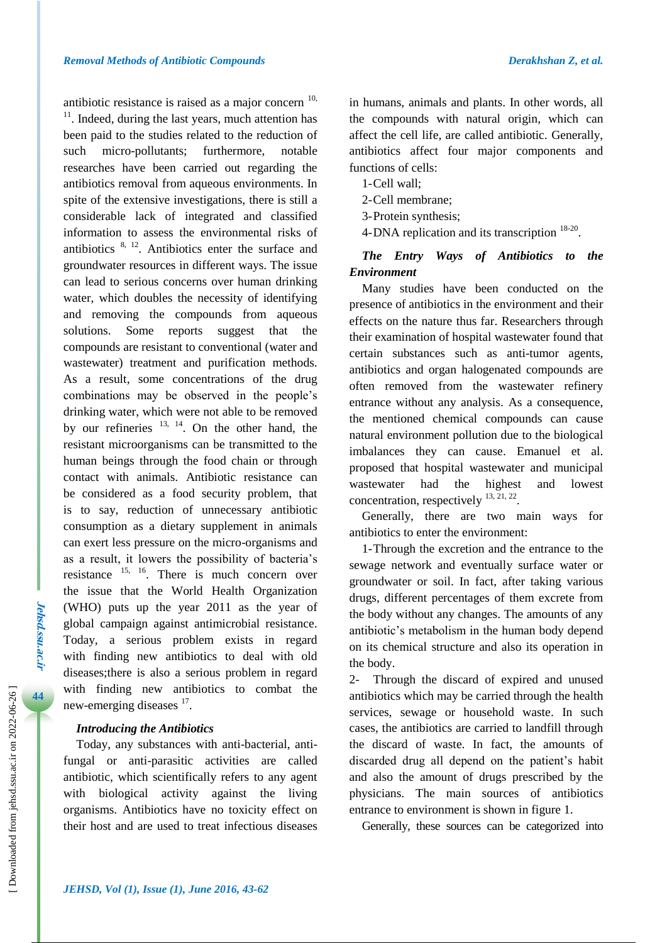antibiotic resistance is raised as a major concern  $10$ ,  $11$ . Indeed, during the last years, much attention has been paid to the studies related to the reduction of such micro-pollutants; furthermore, notable researches have been carried out regarding the antibiotics removal from aqueous environments. In spite of the extensive investigations, there is still a considerable lack of integrated and classified information to assess the environmental risks of antibiotics  $8, 12$ . Antibiotics enter the surface and groundwater resources in different ways. The issue can lead to serious concerns over human drinking water, which doubles the necessity of identifying and removing the compounds from aqueous solutions. Some reports suggest that the compounds are resistant to conventional (water and wastewater) treatment and purification methods. As a result, some concentrations of the drug combinations may be observed in the people's drinking water, which were not able to be removed by our refineries  $13, 14$ . On the other hand, the resistant microorganisms can be transmitted to the human beings through the food chain or through contact with animals. Antibiotic resistance can be considered as a food security problem, that is to say, reduction of unnecessary antibiotic consumption as a dietary supplement in animals can exert less pressure on the micro-organisms and as a result, it lowers the possibility of bacteria's resistance 15, 16. There is much concern over the issue that the World Health Organization (WHO) puts up the year 2011 as the year of global campaign against antimicrobial resistance. Today, a serious problem exists in regard with finding new antibiotics to deal with old diseases;there is also a serious problem in regard with finding new antibiotics to combat the new-emerging diseases <sup>17</sup>.

# *Introducing the Antibiotics*

Today, any substances with anti-bacterial, antifungal or anti-parasitic activities are called antibiotic, which scientifically refers to any agent with biological activity against the living organisms. Antibiotics have no toxicity effect on their host and are used to treat infectious diseases

in humans, animals and plants. In other words, all the compounds with natural origin, which can affect the cell life, are called antibiotic. Generally, antibiotics affect four major components and functions of cells:

- 1-Cell wall;
- 2-Cell membrane;
- 3-Protein synthesis;
- 4-DNA replication and its transcription <sup>18-20</sup>.

# *The Entry Ways of Antibiotics to the Environment*

Many studies have been conducted on the presence of antibiotics in the environment and their effects on the nature thus far. Researchers through their examination of hospital wastewater found that certain substances such as anti-tumor agents, antibiotics and organ halogenated compounds are often removed from the wastewater refinery entrance without any analysis. As a consequence, the mentioned chemical compounds can cause natural environment pollution due to the biological imbalances they can cause. Emanuel et al. proposed that hospital wastewater and municipal wastewater had the highest and lowest concentration, respectively  $^{13, 21, 22}$ .

Generally, there are two main ways for antibiotics to enter the environment:

1-Through the excretion and the entrance to the sewage network and eventually surface water or groundwater or soil. In fact, after taking various drugs, different percentages of them excrete from the body without any changes. The amounts of any antibiotic's metabolism in the human body depend on its chemical structure and also its operation in the body.

2- Through the discard of expired and unused antibiotics which may be carried through the health services, sewage or household waste. In such cases, the antibiotics are carried to landfill through the discard of waste. In fact, the amounts of discarded drug all depend on the patient's habit and also the amount of drugs prescribed by the physicians. The main sources of antibiotics entrance to environment is shown in figure 1.

Generally, these sources can be categorized into

**Jehsd.ssu.ac.ir**

**Jehsd.SSu.ac.Ir**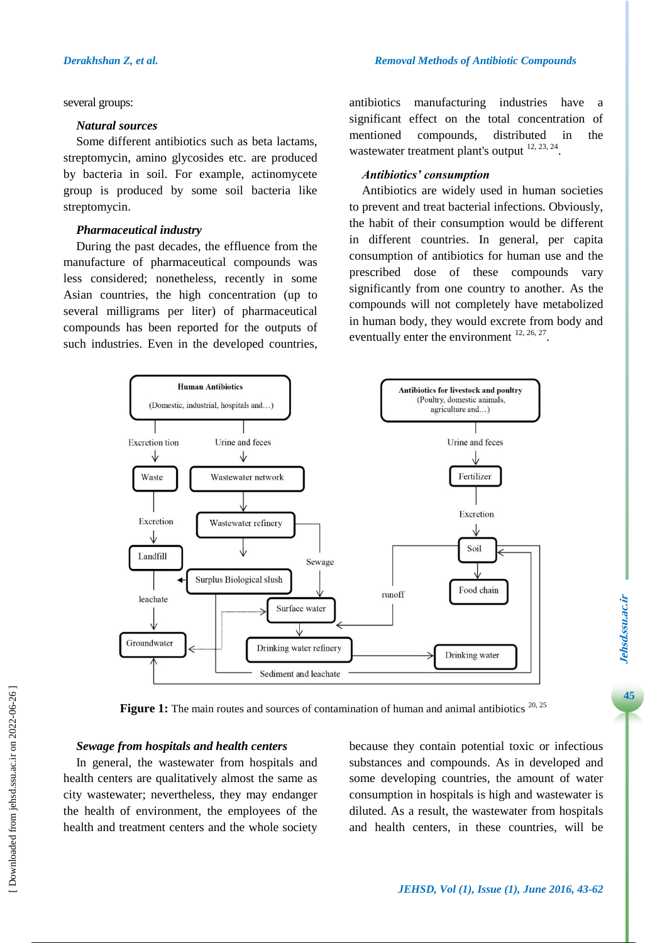#### several groups:

#### *Natural sources*

Some different antibiotics such as beta lactams, streptomycin, amino glycosides etc. are produced by bacteria in soil. For example, actinomycete group is produced by some soil bacteria like streptomycin.

#### *Pharmaceutical industry*

During the past decades, the effluence from the manufacture of pharmaceutical compounds was less considered; nonetheless, recently in some Asian countries, the high concentration (up to several milligrams per liter) of pharmaceutical compounds has been reported for the outputs of such industries. Even in the developed countries, antibiotics manufacturing industries have a significant effect on the total concentration of mentioned compounds, distributed in the wastewater treatment plant's output  $12, 23, 24$ .

#### *Antibiotics' consumption*

Antibiotics are widely used in human societies to prevent and treat bacterial infections. Obviously, the habit of their consumption would be different in different countries. In general, per capita consumption of antibiotics for human use and the prescribed dose of these compounds vary significantly from one country to another. As the compounds will not completely have metabolized in human body, they would excrete from body and eventually enter the environment  $12, 26, 27$ .



Figure 1: The main routes and sources of contamination of human and animal antibiotics<sup>20, 25</sup>

### *Sewage from hospitals and health centers*

In general, the wastewater from hospitals and health centers are qualitatively almost the same as city wastewater; nevertheless, they may endanger the health of environment, the employees of the health and treatment centers and the whole society

because they contain potential toxic or infectious substances and compounds. As in developed and some developing countries, the amount of water consumption in hospitals is high and wastewater is diluted. As a result, the wastewater from hospitals and health centers, in these countries, will be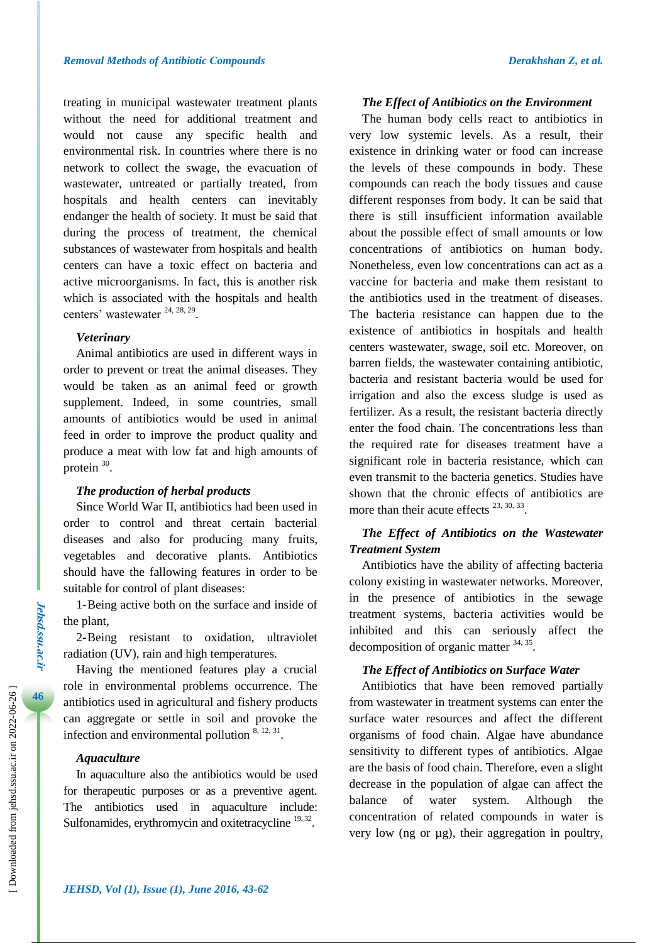treating in municipal wastewater treatment plants without the need for additional treatment and would not cause any specific health and environmental risk. In countries where there is no network to collect the swage, the evacuation of wastewater, untreated or partially treated, from hospitals and health centers can inevitably endanger the health of society. It must be said that during the process of treatment, the chemical substances of wastewater from hospitals and health centers can have a toxic effect on bacteria and active microorganisms. In fact, this is another risk which is associated with the hospitals and health centers' wastewater <sup>24, 28, 29</sup>.

## *Veterinary*

Animal antibiotics are used in different ways in order to prevent or treat the animal diseases. They would be taken as an animal feed or growth supplement. Indeed, in some countries, small amounts of antibiotics would be used in animal feed in order to improve the product quality and produce a meat with low fat and high amounts of protein  $30$ .

#### *The production of herbal products*

Since World War II, antibiotics had been used in order to control and threat certain bacterial diseases and also for producing many fruits, vegetables and decorative plants. Antibiotics should have the fallowing features in order to be suitable for control of plant diseases:

1-Being active both on the surface and inside of the plant,

2-Being resistant to oxidation, ultraviolet radiation (UV), rain and high temperatures.

Having the mentioned features play a crucial role in environmental problems occurrence. The antibiotics used in agricultural and fishery products can aggregate or settle in soil and provoke the infection and environmental pollution  $8, 12, 31$ .

#### *Aquaculture*

In aquaculture also the antibiotics would be used for therapeutic purposes or as a preventive agent. The antibiotics used in aquaculture include: Sulfonamides, erythromycin and oxitetracycline <sup>19, 32</sup>.

#### *The Effect of Antibiotics on the Environment*

The human body cells react to antibiotics in very low systemic levels. As a result, their existence in drinking water or food can increase the levels of these compounds in body. These compounds can reach the body tissues and cause different responses from body. It can be said that there is still insufficient information available about the possible effect of small amounts or low concentrations of antibiotics on human body. Nonetheless, even low concentrations can act as a vaccine for bacteria and make them resistant to the antibiotics used in the treatment of diseases. The bacteria resistance can happen due to the existence of antibiotics in hospitals and health centers wastewater, swage, soil etc. Moreover, on barren fields, the wastewater containing antibiotic, bacteria and resistant bacteria would be used for irrigation and also the excess sludge is used as fertilizer. As a result, the resistant bacteria directly enter the food chain. The concentrations less than the required rate for diseases treatment have a significant role in bacteria resistance, which can even transmit to the bacteria genetics. Studies have shown that the chronic effects of antibiotics are more than their acute effects  $^{23, 30, 33}$ .

# *The Effect of Antibiotics on the Wastewater Treatment System*

Antibiotics have the ability of affecting bacteria colony existing in wastewater networks. Moreover, in the presence of antibiotics in the sewage treatment systems, bacteria activities would be inhibited and this can seriously affect the decomposition of organic matter <sup>34, 35</sup>.

## *The Effect of Antibiotics on Surface Water*

Antibiotics that have been removed partially from wastewater in treatment systems can enter the surface water resources and affect the different organisms of food chain. Algae have abundance sensitivity to different types of antibiotics. Algae are the basis of food chain. Therefore, even a slight decrease in the population of algae can affect the balance of water system. Although the concentration of related compounds in water is very low (ng or µg), their aggregation in poultry,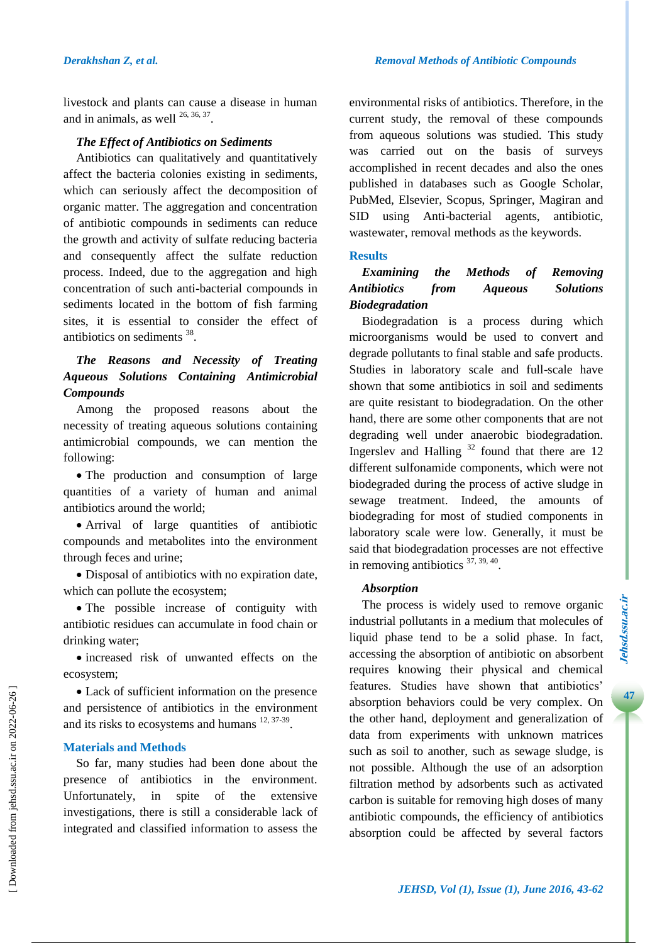livestock and plants can cause a disease in human and in animals, as well  $^{26, 36, 37}$ .

# *The Effect of Antibiotics on Sediments*

Antibiotics can qualitatively and quantitatively affect the bacteria colonies existing in sediments, which can seriously affect the decomposition of organic matter. The aggregation and concentration of antibiotic compounds in sediments can reduce the growth and activity of sulfate reducing bacteria and consequently affect the sulfate reduction process. Indeed, due to the aggregation and high concentration of such anti-bacterial compounds in sediments located in the bottom of fish farming sites, it is essential to consider the effect of antibiotics on sediments <sup>38</sup>.

# *The Reasons and Necessity of Treating Aqueous Solutions Containing Antimicrobial Compounds*

Among the proposed reasons about the necessity of treating aqueous solutions containing antimicrobial compounds, we can mention the following:

• The production and consumption of large quantities of a variety of human and animal antibiotics around the world;

 Arrival of large quantities of antibiotic compounds and metabolites into the environment through feces and urine;

 Disposal of antibiotics with no expiration date, which can pollute the ecosystem;

• The possible increase of contiguity with antibiotic residues can accumulate in food chain or drinking water;

• increased risk of unwanted effects on the ecosystem;

 Lack of sufficient information on the presence and persistence of antibiotics in the environment and its risks to ecosystems and humans  $12, 37-39$ .

# **Materials and Methods**

So far, many studies had been done about the presence of antibiotics in the environment. Unfortunately, in spite of the extensive investigations, there is still a considerable lack of integrated and classified information to assess the

environmental risks of antibiotics. Therefore, in the current study, the removal of these compounds from aqueous solutions was studied. This study was carried out on the basis of surveys accomplished in recent decades and also the ones published in databases such as Google Scholar, PubMed, Elsevier, Scopus, Springer, Magiran and SID using Anti-bacterial agents, antibiotic, wastewater, removal methods as the keywords.

# **Results**

# *Examining the Methods of Removing Antibiotics from Aqueous Solutions Biodegradation*

Biodegradation is a process during which microorganisms would be used to convert and degrade pollutants to final stable and safe products. Studies in laboratory scale and full-scale have shown that some antibiotics in soil and sediments are quite resistant to biodegradation. On the other hand, there are some other components that are not degrading well under anaerobic biodegradation. Ingerslev and Halling  $32$  found that there are 12 different sulfonamide components, which were not biodegraded during the process of active sludge in sewage treatment. Indeed, the amounts of biodegrading for most of studied components in laboratory scale were low. Generally, it must be said that biodegradation processes are not effective in removing antibiotics  $37, 39, 40$ .

# *Absorption*

The process is widely used to remove organic industrial pollutants in a medium that molecules of liquid phase tend to be a solid phase. In fact, accessing the absorption of antibiotic on absorbent requires knowing their physical and chemical features. Studies have shown that antibiotics' absorption behaviors could be very complex. On the other hand, deployment and generalization of data from experiments with unknown matrices such as soil to another, such as sewage sludge, is not possible. Although the use of an adsorption filtration method by adsorbents such as activated carbon is suitable for removing high doses of many antibiotic compounds, the efficiency of antibiotics absorption could be affected by several factors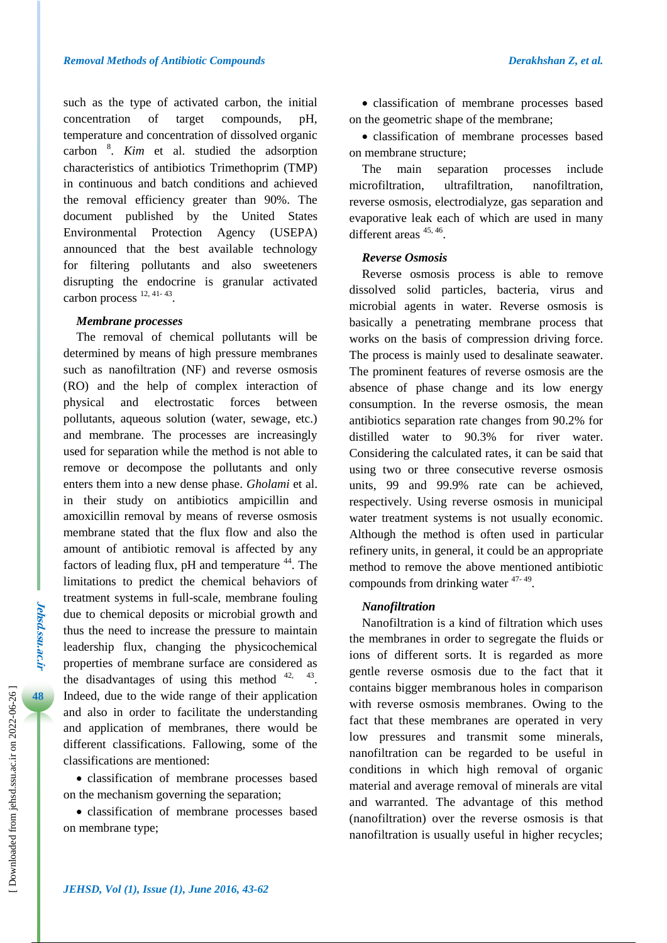such as the type of activated carbon, the initial concentration of target compounds, pH, temperature and concentration of dissolved organic carbon <sup>8</sup> . *Kim* et al. studied the adsorption characteristics of antibiotics Trimethoprim (TMP) in continuous and batch conditions and achieved the removal efficiency greater than 90%. The document published by the United States Environmental Protection Agency (USEPA) announced that the best available technology for filtering pollutants and also sweeteners disrupting the endocrine is granular activated carbon process  $12, 41-43$ .

## *Membrane processes*

The removal of chemical pollutants will be determined by means of high pressure membranes such as nanofiltration (NF) and reverse osmosis (RO) and the help of complex interaction of physical and electrostatic forces between pollutants, aqueous solution (water, sewage, etc.) and membrane. The processes are increasingly used for separation while the method is not able to remove or decompose the pollutants and only enters them into a new dense phase. *Gholami* et al. in their study on antibiotics ampicillin and amoxicillin removal by means of reverse osmosis membrane stated that the flux flow and also the amount of antibiotic removal is affected by any factors of leading flux,  $pH$  and temperature  $44$ . The limitations to predict the chemical behaviors of treatment systems in full-scale, membrane fouling due to chemical deposits or microbial growth and thus the need to increase the pressure to maintain leadership flux, changing the physicochemical properties of membrane surface are considered as the disadvantages of using this method  $42, 43$ . Indeed, due to the wide range of their application and also in order to facilitate the understanding and application of membranes, there would be different classifications. Fallowing, some of the classifications are mentioned:

 classification of membrane processes based on the mechanism governing the separation;

 classification of membrane processes based on membrane type;

 classification of membrane processes based on the geometric shape of the membrane;

 classification of membrane processes based on membrane structure;

The main separation processes include microfiltration, ultrafiltration, nanofiltration, reverse osmosis, electrodialyze, gas separation and evaporative leak each of which are used in many different areas  $45, 46$ .

#### *Reverse Osmosis*

Reverse osmosis process is able to remove dissolved solid particles, bacteria, virus and microbial agents in water. Reverse osmosis is basically a penetrating membrane process that works on the basis of compression driving force. The process is mainly used to desalinate seawater. The prominent features of reverse osmosis are the absence of phase change and its low energy consumption. In the reverse osmosis, the mean antibiotics separation rate changes from 90.2% for distilled water to 90.3% for river water. Considering the calculated rates, it can be said that using two or three consecutive reverse osmosis units, 99 and 99.9% rate can be achieved, respectively. Using reverse osmosis in municipal water treatment systems is not usually economic. Although the method is often used in particular refinery units, in general, it could be an appropriate method to remove the above mentioned antibiotic compounds from drinking water <sup>47-49</sup>.

## *Nanofiltration*

Nanofiltration is a kind of filtration which uses the membranes in order to segregate the fluids or ions of different sorts. It is regarded as more gentle reverse osmosis due to the fact that it contains bigger membranous holes in comparison with reverse osmosis membranes. Owing to the fact that these membranes are operated in very low pressures and transmit some minerals, nanofiltration can be regarded to be useful in conditions in which high removal of organic material and average removal of minerals are vital and warranted. The advantage of this method (nanofiltration) over the reverse osmosis is that nanofiltration is usually useful in higher recycles;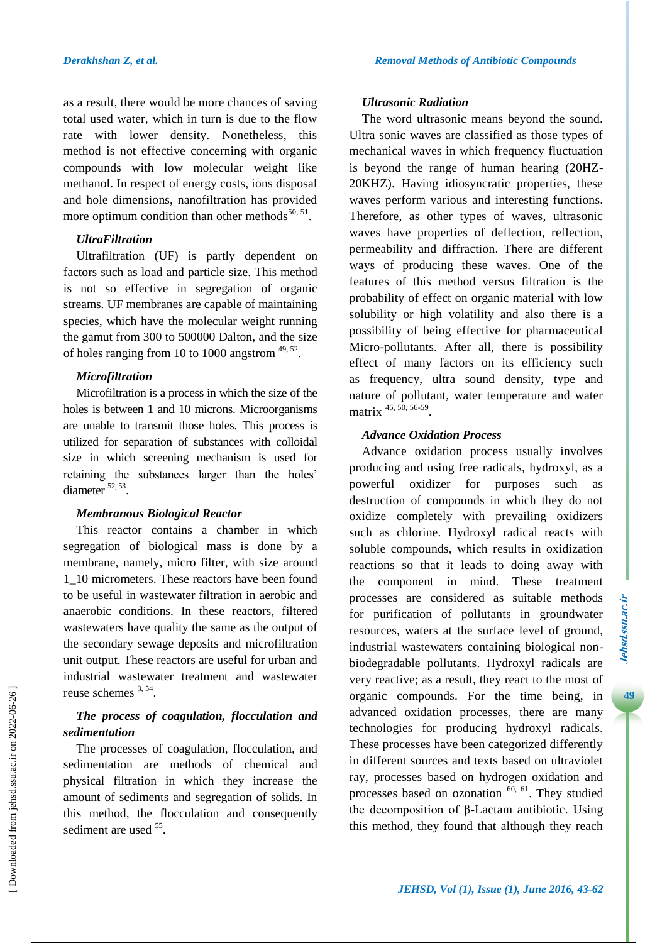as a result, there would be more chances of saving total used water, which in turn is due to the flow rate with lower density. Nonetheless, this method is not effective concerning with organic compounds with low molecular weight like methanol. In respect of energy costs, ions disposal and hole dimensions, nanofiltration has provided more optimum condition than other methods<sup>50, 51</sup>.

# *UltraFiltration*

Ultrafiltration (UF) is partly dependent on factors such as load and particle size. This method is not so effective in segregation of organic streams. UF membranes are capable of maintaining species, which have the molecular weight running the gamut from 300 to 500000 Dalton, and the size of holes ranging from 10 to 1000 angstrom  $49, 52$ .

# *Microfiltration*

Microfiltration is a process in which the size of the holes is between 1 and 10 microns. Microorganisms are unable to transmit those holes. This process is utilized for separation of substances with colloidal size in which screening mechanism is used for retaining the substances larger than the holes' diameter <sup>52, 53</sup>.

#### *Membranous Biological Reactor*

This reactor contains a chamber in which segregation of biological mass is done by a membrane, namely, micro filter, with size around 1\_10 micrometers. These reactors have been found to be useful in wastewater filtration in aerobic and anaerobic conditions. In these reactors, filtered wastewaters have quality the same as the output of the secondary sewage deposits and microfiltration unit output. These reactors are useful for urban and industrial wastewater treatment and wastewater reuse schemes <sup>3, 54</sup>.

# *The process of coagulation, flocculation and sedimentation*

The processes of coagulation, flocculation, and sedimentation are methods of chemical and physical filtration in which they increase the amount of sediments and segregation of solids. In this method, the flocculation and consequently sediment are used <sup>55</sup>.

### *Ultrasonic Radiation*

The word ultrasonic means beyond the sound. Ultra sonic waves are classified as those types of mechanical waves in which frequency fluctuation is beyond the range of human hearing (20HZ-20KHZ). Having idiosyncratic properties, these waves perform various and interesting functions. Therefore, as other types of waves, ultrasonic waves have properties of deflection, reflection, permeability and diffraction. There are different ways of producing these waves. One of the features of this method versus filtration is the probability of effect on organic material with low solubility or high volatility and also there is a possibility of being effective for pharmaceutical Micro-pollutants. After all, there is possibility effect of many factors on its efficiency such as frequency, ultra sound density, type and nature of pollutant, water temperature and water matrix 46, 50, 56-59.

# *Advance Oxidation Process*

Advance oxidation process usually involves producing and using free radicals, hydroxyl, as a powerful oxidizer for purposes such destruction of compounds in which they do not oxidize completely with prevailing oxidizers such as chlorine. Hydroxyl radical reacts with soluble compounds, which results in oxidization reactions so that it leads to doing away with the component in mind. These treatment processes are considered as suitable methods for purification of pollutants in groundwater resources, waters at the surface level of ground, industrial wastewaters containing biological nonbiodegradable pollutants. Hydroxyl radicals are very reactive; as a result, they react to the most of organic compounds. For the time being, in advanced oxidation processes, there are many technologies for producing hydroxyl radicals. These processes have been categorized differently in different sources and texts based on ultraviolet ray, processes based on hydrogen oxidation and processes based on ozonation  $\overset{60, 61}{\sim}$ . They studied the decomposition of β-Lactam antibiotic. Using this method, they found that although they reach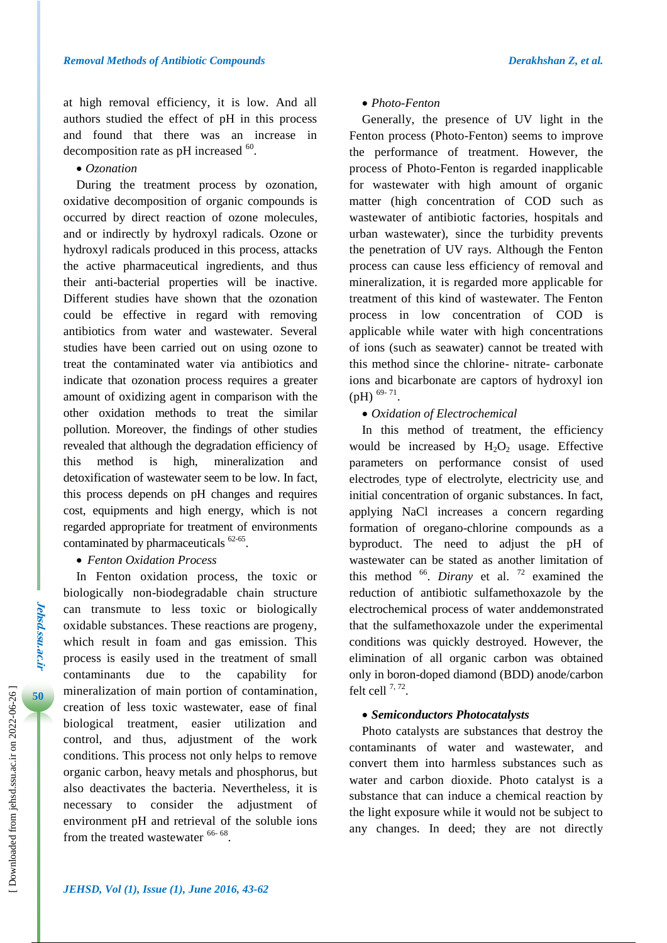at high removal efficiency, it is low. And all authors studied the effect of pH in this process and found that there was an increase in decomposition rate as pH increased  $^{60}$ .

*Ozonation*

During the treatment process by ozonation, oxidative decomposition of organic compounds is occurred by direct reaction of ozone molecules, and or indirectly by hydroxyl radicals. Ozone or hydroxyl radicals produced in this process, attacks the active pharmaceutical ingredients, and thus their anti-bacterial properties will be inactive. Different studies have shown that the ozonation could be effective in regard with removing antibiotics from water and wastewater. Several studies have been carried out on using ozone to treat the contaminated water via antibiotics and indicate that ozonation process requires a greater amount of oxidizing agent in comparison with the other oxidation methods to treat the similar pollution. Moreover, the findings of other studies revealed that although the degradation efficiency of this method is high, mineralization and detoxification of wastewater seem to be low. In fact, this process depends on pH changes and requires cost, equipments and high energy, which is not regarded appropriate for treatment of environments contaminated by pharmaceuticals <sup>62-65</sup>.

*Fenton Oxidation Process*

In Fenton oxidation process, the toxic or biologically non-biodegradable chain structure can transmute to less toxic or biologically oxidable substances. These reactions are progeny, which result in foam and gas emission. This process is easily used in the treatment of small contaminants due to the capability for mineralization of main portion of contamination, creation of less toxic wastewater, ease of final biological treatment, easier utilization and control, and thus, adjustment of the work conditions. This process not only helps to remove organic carbon, heavy metals and phosphorus, but also deactivates the bacteria. Nevertheless, it is necessary to consider the adjustment of environment pH and retrieval of the soluble ions from the treated wastewater <sup>66-68</sup>.

#### *Photo-Fenton*

Generally, the presence of UV light in the Fenton process (Photo-Fenton) seems to improve the performance of treatment. However, the process of Photo-Fenton is regarded inapplicable for wastewater with high amount of organic matter (high concentration of COD such as wastewater of antibiotic factories, hospitals and urban wastewater), since the turbidity prevents the penetration of UV rays. Although the Fenton process can cause less efficiency of removal and mineralization, it is regarded more applicable for treatment of this kind of wastewater. The Fenton process in low concentration of COD is applicable while water with high concentrations of ions (such as seawater) cannot be treated with this method since the chlorine- nitrate- carbonate ions and bicarbonate are captors of hydroxyl ion  $(pH)$ <sup>69-71</sup>.

# *Oxidation of Electrochemical*

In this method of treatment, the efficiency would be increased by  $H_2O_2$  usage. Effective parameters on performance consist of used electrodes type of electrolyte, electricity use and initial concentration of organic substances. In fact, applying NaCl increases a concern regarding formation of oregano-chlorine compounds as a byproduct. The need to adjust the pH of wastewater can be stated as another limitation of this method  $^{66}$ . *Dirany* et al. <sup>72</sup> examined the reduction of antibiotic sulfamethoxazole by the electrochemical process of water anddemonstrated that the sulfamethoxazole under the experimental conditions was quickly destroyed. However, the elimination of all organic carbon was obtained only in boron-doped diamond (BDD) anode/carbon felt cell  $7, 72$ .

#### *Semiconductors Photocatalysts*

Photo catalysts are substances that destroy the contaminants of water and wastewater, and convert them into harmless substances such as water and carbon dioxide. Photo catalyst is a substance that can induce a chemical reaction by the light exposure while it would not be subject to any changes. In deed; they are not directly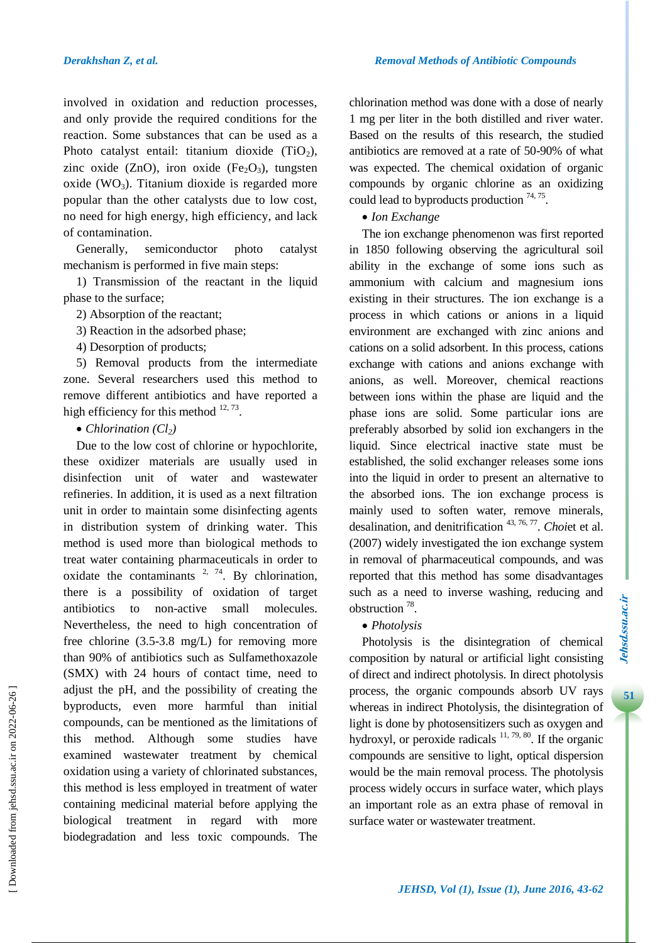involved in oxidation and reduction processes, and only provide the required conditions for the reaction. Some substances that can be used as a Photo catalyst entail: titanium dioxide  $(TiO<sub>2</sub>)$ , zinc oxide (ZnO), iron oxide (Fe<sub>2</sub>O<sub>3</sub>), tungsten oxide (WO<sub>3</sub>). Titanium dioxide is regarded more popular than the other catalysts due to low cost, no need for high energy, high efficiency, and lack of contamination.

Generally, semiconductor photo catalyst mechanism is performed in five main steps:

1) Transmission of the reactant in the liquid phase to the surface;

2) Absorption of the reactant;

3) Reaction in the adsorbed phase;

4) Desorption of products;

5) Removal products from the intermediate zone. Several researchers used this method to remove different antibiotics and have reported a high efficiency for this method  $12, 73$ .

• *Chlorination* (*Cl*<sub>2</sub>)

Due to the low cost of chlorine or hypochlorite, these oxidizer materials are usually used in disinfection unit of water and wastewater refineries. In addition, it is used as a next filtration unit in order to maintain some disinfecting agents in distribution system of drinking water. This method is used more than biological methods to treat water containing pharmaceuticals in order to oxidate the contaminants  $2, 74$ . By chlorination, there is a possibility of oxidation of target antibiotics to non-active small molecules. Nevertheless, the need to high concentration of free chlorine (3.5-3.8 mg/L) for removing more than 90% of antibiotics such as Sulfamethoxazole (SMX) with 24 hours of contact time, need to adjust the pH, and the possibility of creating the byproducts, even more harmful than initial compounds, can be mentioned as the limitations of this method. Although some studies have examined wastewater treatment by chemical oxidation using a variety of chlorinated substances, this method is less employed in treatment of water containing medicinal material before applying the biological treatment in regard with more biodegradation and less toxic compounds. The chlorination method was done with a dose of nearly 1 mg per liter in the both distilled and river water. Based on the results of this research, the studied antibiotics are removed at a rate of 50-90% of what was expected. The chemical oxidation of organic compounds by organic chlorine as an oxidizing could lead to byproducts production  $74, 75$ .

## *Ion Exchange*

The ion exchange phenomenon was first reported in 1850 following observing the agricultural soil ability in the exchange of some ions such as ammonium with calcium and magnesium ions existing in their structures. The ion exchange is a process in which cations or anions in a liquid environment are exchanged with zinc anions and cations on a solid adsorbent. In this process, cations exchange with cations and anions exchange with anions, as well. Moreover, chemical reactions between ions within the phase are liquid and the phase ions are solid. Some particular ions are preferably absorbed by solid ion exchangers in the liquid. Since electrical inactive state must be established, the solid exchanger releases some ions into the liquid in order to present an alternative to the absorbed ions. The ion exchange process is mainly used to soften water, remove minerals, desalination, and denitrification <sup>43, 76, 77</sup>. *Choi*et et al. (2007) widely investigated the ion exchange system in removal of pharmaceutical compounds, and was reported that this method has some disadvantages such as a need to inverse washing, reducing and obstruction <sup>78</sup> .

*Photolysis*

Photolysis is the disintegration of chemical composition by natural or artificial light consisting of direct and indirect photolysis. In direct photolysis process, the organic compounds absorb UV rays whereas in indirect Photolysis, the disintegration of light is done by photosensitizers such as oxygen and hydroxyl, or peroxide radicals  $11, 79, 80$ . If the organic compounds are sensitive to light, optical dispersion would be the main removal process. The photolysis process widely occurs in surface water, which plays an important role as an extra phase of removal in surface water or wastewater treatment.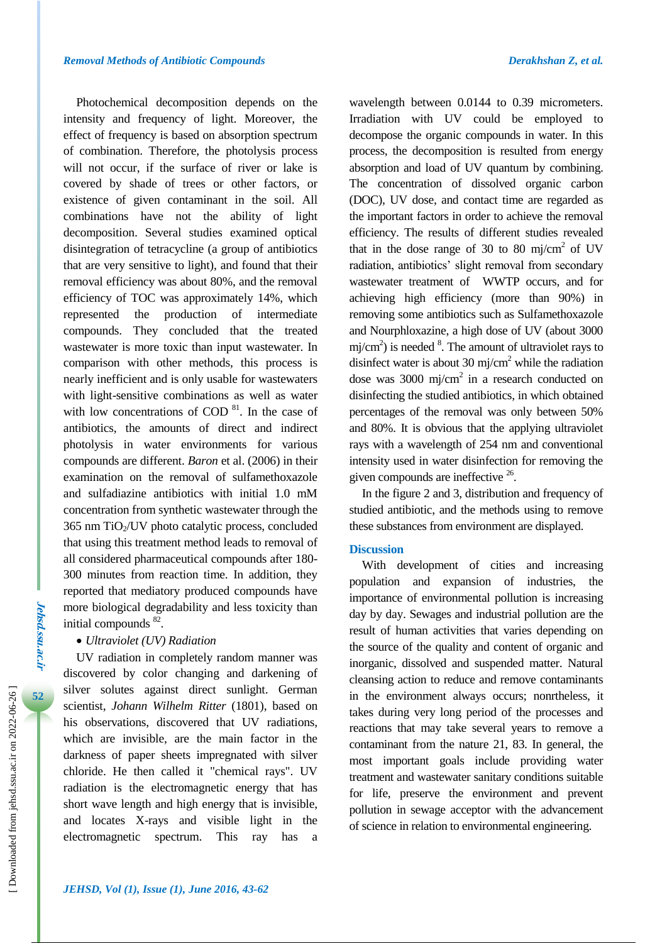Photochemical decomposition depends on the intensity and frequency of light. Moreover, the effect of frequency is based on absorption spectrum of combination. Therefore, the photolysis process will not occur, if the surface of river or lake is covered by shade of trees or other factors, or existence of given contaminant in the soil. All combinations have not the ability of light decomposition. Several studies examined optical disintegration of tetracycline (a group of antibiotics that are very sensitive to light), and found that their removal efficiency was about 80%, and the removal efficiency of TOC was approximately 14%, which represented the production of intermediate compounds. They concluded that the treated wastewater is more toxic than input wastewater. In comparison with other methods, this process is nearly inefficient and is only usable for wastewaters with light-sensitive combinations as well as water with low concentrations of COD $^{81}$ . In the case of antibiotics, the amounts of direct and indirect photolysis in water environments for various compounds are different. *Baron* et al. (2006) in their examination on the removal of sulfamethoxazole and sulfadiazine antibiotics with initial 1.0 mM concentration from synthetic wastewater through the  $365$  nm TiO<sub>2</sub>/UV photo catalytic process, concluded that using this treatment method leads to removal of all considered pharmaceutical compounds after 180- 300 minutes from reaction time. In addition, they reported that mediatory produced compounds have more biological degradability and less toxicity than initial compounds <sup>82</sup>.

# *Ultraviolet (UV) Radiation*

UV radiation in completely random manner was discovered by color changing and darkening of silver solutes against direct sunlight. German scientist, *Johann Wilhelm Ritter* (1801), based on his observations, discovered that UV radiations, which are invisible, are the main factor in the darkness of paper sheets impregnated with silver chloride. He then called it "chemical rays". UV radiation is the electromagnetic energy that has short wave length and high energy that is invisible, and locates X-rays and visible light in the electromagnetic spectrum. This ray has a

wavelength between 0.0144 to 0.39 micrometers. Irradiation with UV could be employed to decompose the organic compounds in water. In this process, the decomposition is resulted from energy absorption and load of UV quantum by combining. The concentration of dissolved organic carbon (DOC), UV dose, and contact time are regarded as the important factors in order to achieve the removal efficiency. The results of different studies revealed that in the dose range of 30 to 80 mj/cm<sup>2</sup> of UV radiation, antibiotics' slight removal from secondary wastewater treatment of WWTP occurs, and for achieving high efficiency (more than 90%) in removing some antibiotics such as Sulfamethoxazole and Nourphloxazine, a high dose of UV (about 3000 mj/cm<sup>2</sup>) is needed  $\frac{8}{3}$ . The amount of ultraviolet rays to disinfect water is about 30 mj/cm<sup>2</sup> while the radiation dose was  $3000 \text{ mj/cm}^2$  in a research conducted on disinfecting the studied antibiotics, in which obtained percentages of the removal was only between 50% and 80%. It is obvious that the applying ultraviolet rays with a wavelength of 254 nm and conventional intensity used in water disinfection for removing the given compounds are ineffective <sup>26</sup>.

In the figure 2 and 3, distribution and frequency of studied antibiotic, and the methods using to remove these substances from environment are displayed.

#### **Discussion**

With development of cities and increasing population and expansion of industries, the importance of environmental pollution is increasing day by day. Sewages and industrial pollution are the result of human activities that varies depending on the source of the quality and content of organic and inorganic, dissolved and suspended matter. Natural cleansing action to reduce and remove contaminants in the environment always occurs; nonrtheless, it takes during very long period of the processes and reactions that may take several years to remove a contaminant from the nature 21, 83. In general, the most important goals include providing water treatment and wastewater sanitary conditions suitable for life, preserve the environment and prevent pollution in sewage acceptor with the advancement of science in relation to environmental engineering.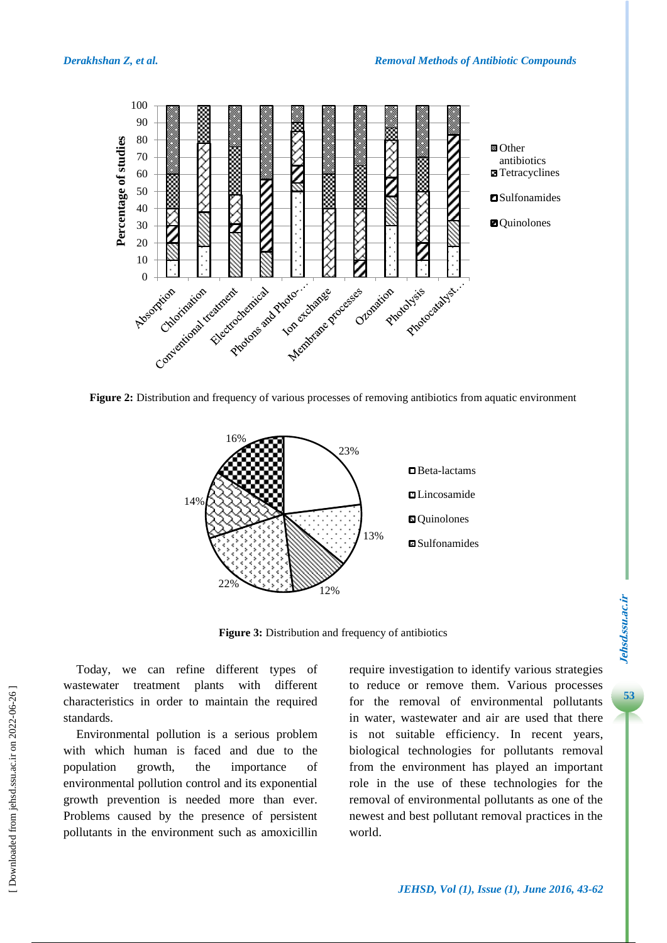

**Figure 2:** Distribution and frequency of various processes of removing antibiotics from aquatic environment



**Figure 3:** Distribution and frequency of antibiotics

Today, we can refine different types of wastewater treatment plants with different characteristics in order to maintain the required standards.

Environmental pollution is a serious problem with which human is faced and due to the population growth, the importance of environmental pollution control and its exponential growth prevention is needed more than ever. Problems caused by the presence of persistent pollutants in the environment such as amoxicillin require investigation to identify various strategies to reduce or remove them. Various processes for the removal of environmental pollutants in water, wastewater and air are used that there is not suitable efficiency. In recent years, biological technologies for pollutants removal from the environment has played an important role in the use of these technologies for the removal of environmental pollutants as one of the newest and best pollutant removal practices in the world.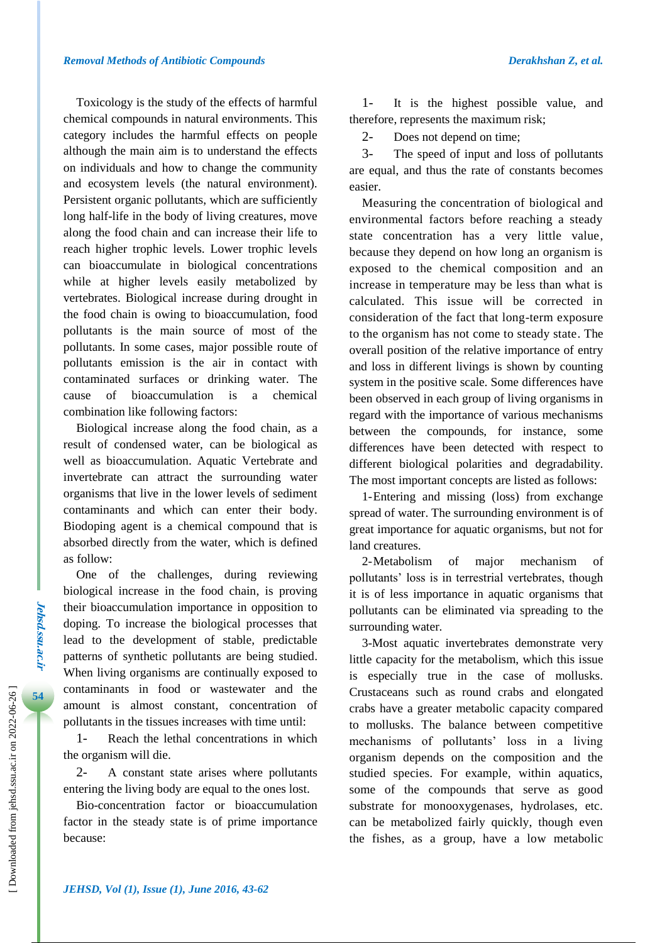Toxicology is the study of the effects of harmful chemical compounds in natural environments. This category includes the harmful effects on people although the main aim is to understand the effects on individuals and how to change the community and ecosystem levels (the natural environment). Persistent organic pollutants, which are sufficiently long half-life in the body of living creatures, move along the food chain and can increase their life to reach higher trophic levels. Lower trophic levels can bioaccumulate in biological concentrations while at higher levels easily metabolized by vertebrates. Biological increase during drought in the food chain is owing to bioaccumulation, food pollutants is the main source of most of the pollutants. In some cases, major possible route of pollutants emission is the air in contact with contaminated surfaces or drinking water. The cause of bioaccumulation is a chemical combination like following factors:

Biological increase along the food chain, as a result of condensed water, can be biological as well as bioaccumulation. Aquatic Vertebrate and invertebrate can attract the surrounding water organisms that live in the lower levels of sediment contaminants and which can enter their body. Biodoping agent is a chemical compound that is absorbed directly from the water, which is defined as follow:

One of the challenges, during reviewing biological increase in the food chain, is proving their bioaccumulation importance in opposition to doping. To increase the biological processes that lead to the development of stable, predictable patterns of synthetic pollutants are being studied. When living organisms are continually exposed to contaminants in food or wastewater and the amount is almost constant, concentration of pollutants in the tissues increases with time until:

1- Reach the lethal concentrations in which the organism will die.

2- A constant state arises where pollutants entering the living body are equal to the ones lost.

Bio-concentration factor or bioaccumulation factor in the steady state is of prime importance because:

1- It is the highest possible value, and therefore, represents the maximum risk;

2- Does not depend on time;

3- The speed of input and loss of pollutants are equal, and thus the rate of constants becomes easier.

Measuring the concentration of biological and environmental factors before reaching a steady state concentration has a very little value, because they depend on how long an organism is exposed to the chemical composition and an increase in temperature may be less than what is calculated. This issue will be corrected in consideration of the fact that long-term exposure to the organism has not come to steady state. The overall position of the relative importance of entry and loss in different livings is shown by counting system in the positive scale. Some differences have been observed in each group of living organisms in regard with the importance of various mechanisms between the compounds, for instance, some differences have been detected with respect to different biological polarities and degradability. The most important concepts are listed as follows:

1-Entering and missing (loss) from exchange spread of water. The surrounding environment is of great importance for aquatic organisms, but not for land creatures.

2-Metabolism of major mechanism of pollutants' loss is in terrestrial vertebrates, though it is of less importance in aquatic organisms that pollutants can be eliminated via spreading to the surrounding water.

3-Most aquatic invertebrates demonstrate very little capacity for the metabolism, which this issue is especially true in the case of mollusks. Crustaceans such as round crabs and elongated crabs have a greater metabolic capacity compared to mollusks. The balance between competitive mechanisms of pollutants' loss in a living organism depends on the composition and the studied species. For example, within aquatics, some of the compounds that serve as good substrate for monooxygenases, hydrolases, etc. can be metabolized fairly quickly, though even the fishes, as a group, have a low metabolic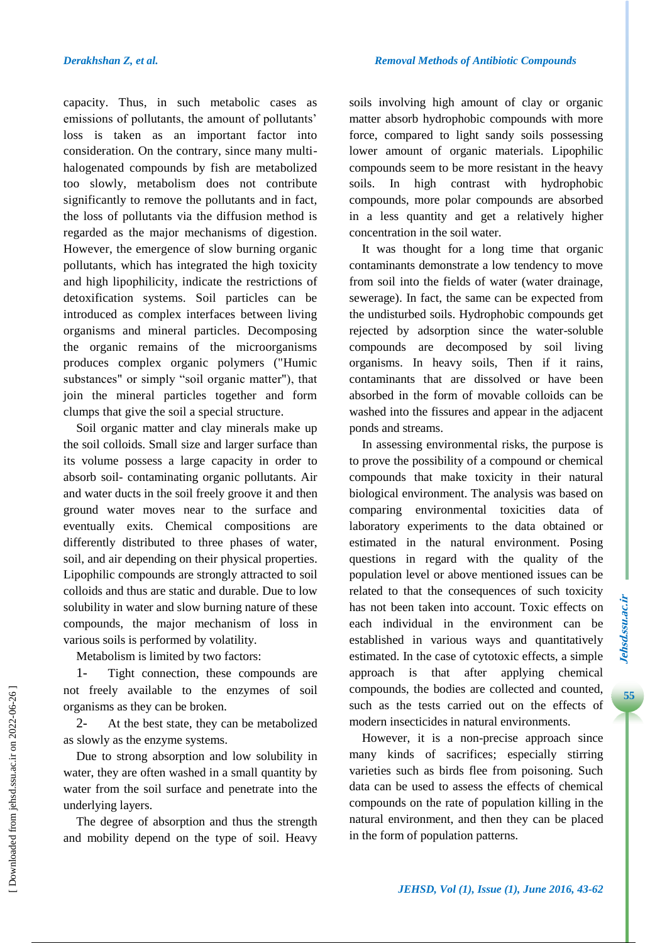capacity. Thus, in such metabolic cases as emissions of pollutants, the amount of pollutants' loss is taken as an important factor into consideration. On the contrary, since many multihalogenated compounds by fish are metabolized too slowly, metabolism does not contribute significantly to remove the pollutants and in fact, the loss of pollutants via the diffusion method is regarded as the major mechanisms of digestion. However, the emergence of slow burning organic pollutants, which has integrated the high toxicity and high lipophilicity, indicate the restrictions of detoxification systems. Soil particles can be introduced as complex interfaces between living organisms and mineral particles. Decomposing the organic remains of the microorganisms produces complex organic polymers ("Humic substances" or simply "soil organic matter"), that join the mineral particles together and form clumps that give the soil a special structure.

Soil organic matter and clay minerals make up the soil colloids. Small size and larger surface than its volume possess a large capacity in order to absorb soil- contaminating organic pollutants. Air and water ducts in the soil freely groove it and then ground water moves near to the surface and eventually exits. Chemical compositions are differently distributed to three phases of water, soil, and air depending on their physical properties. Lipophilic compounds are strongly attracted to soil colloids and thus are static and durable. Due to low solubility in water and slow burning nature of these compounds, the major mechanism of loss in various soils is performed by volatility.

Metabolism is limited by two factors:

1- Tight connection, these compounds are not freely available to the enzymes of soil organisms as they can be broken.

2- At the best state, they can be metabolized as slowly as the enzyme systems.

Due to strong absorption and low solubility in water, they are often washed in a small quantity by water from the soil surface and penetrate into the underlying layers.

The degree of absorption and thus the strength and mobility depend on the type of soil. Heavy soils involving high amount of clay or organic matter absorb hydrophobic compounds with more force, compared to light sandy soils possessing lower amount of organic materials. Lipophilic compounds seem to be more resistant in the heavy soils. In high contrast with hydrophobic compounds, more polar compounds are absorbed in a less quantity and get a relatively higher concentration in the soil water.

It was thought for a long time that organic contaminants demonstrate a low tendency to move from soil into the fields of water (water drainage, sewerage). In fact, the same can be expected from the undisturbed soils. Hydrophobic compounds get rejected by adsorption since the water-soluble compounds are decomposed by soil living organisms. In heavy soils, Then if it rains, contaminants that are dissolved or have been absorbed in the form of movable colloids can be washed into the fissures and appear in the adjacent ponds and streams.

In assessing environmental risks, the purpose is to prove the possibility of a compound or chemical compounds that make toxicity in their natural biological environment. The analysis was based on comparing environmental toxicities data of laboratory experiments to the data obtained or estimated in the natural environment. Posing questions in regard with the quality of the population level or above mentioned issues can be related to that the consequences of such toxicity has not been taken into account. Toxic effects on each individual in the environment can be established in various ways and quantitatively estimated. In the case of cytotoxic effects, a simple approach is that after applying chemical compounds, the bodies are collected and counted, such as the tests carried out on the effects of modern insecticides in natural environments.

However, it is a non-precise approach since many kinds of sacrifices; especially stirring varieties such as birds flee from poisoning. Such data can be used to assess the effects of chemical compounds on the rate of population killing in the natural environment, and then they can be placed in the form of population patterns.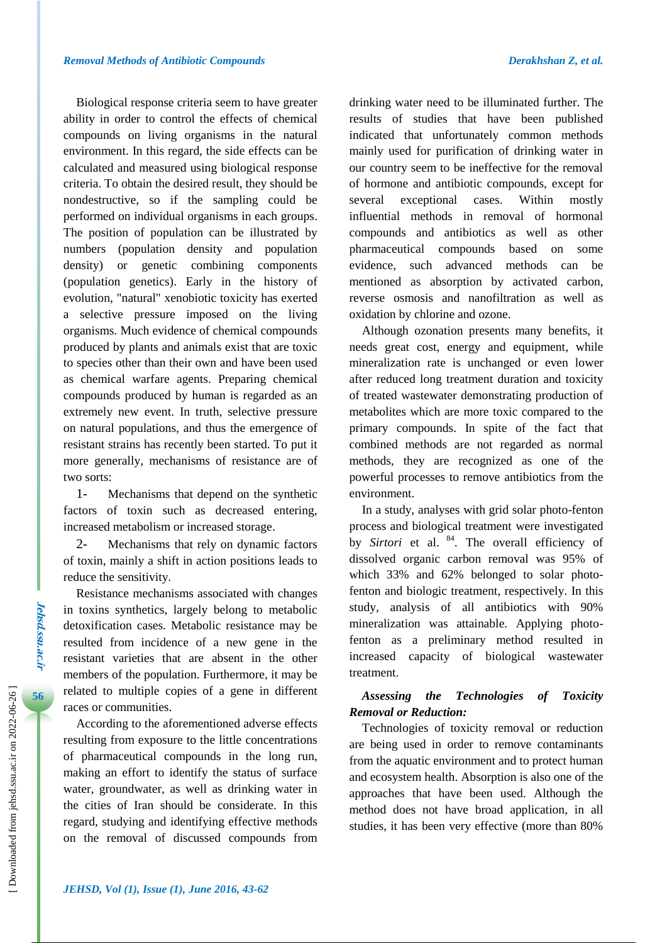Biological response criteria seem to have greater ability in order to control the effects of chemical compounds on living organisms in the natural environment. In this regard, the side effects can be calculated and measured using biological response criteria. To obtain the desired result, they should be nondestructive, so if the sampling could be performed on individual organisms in each groups. The position of population can be illustrated by numbers (population density and population density) or genetic combining components (population genetics). Early in the history of evolution, "natural" xenobiotic toxicity has exerted a selective pressure imposed on the living organisms. Much evidence of chemical compounds produced by plants and animals exist that are toxic to species other than their own and have been used as chemical warfare agents. Preparing chemical compounds produced by human is regarded as an extremely new event. In truth, selective pressure on natural populations, and thus the emergence of resistant strains has recently been started. To put it more generally, mechanisms of resistance are of two sorts:

1- Mechanisms that depend on the synthetic factors of toxin such as decreased entering, increased metabolism or increased storage.

2- Mechanisms that rely on dynamic factors of toxin, mainly a shift in action positions leads to reduce the sensitivity.

Resistance mechanisms associated with changes in toxins synthetics, largely belong to metabolic detoxification cases. Metabolic resistance may be resulted from incidence of a new gene in the resistant varieties that are absent in the other members of the population. Furthermore, it may be related to multiple copies of a gene in different races or communities.

According to the aforementioned adverse effects resulting from exposure to the little concentrations of pharmaceutical compounds in the long run, making an effort to identify the status of surface water, groundwater, as well as drinking water in the cities of Iran should be considerate. In this regard, studying and identifying effective methods on the removal of discussed compounds from drinking water need to be illuminated further. The results of studies that have been published indicated that unfortunately common methods mainly used for purification of drinking water in our country seem to be ineffective for the removal of hormone and antibiotic compounds, except for several exceptional cases. Within mostly influential methods in removal of hormonal compounds and antibiotics as well as other pharmaceutical compounds based on some evidence, such advanced methods can be mentioned as absorption by activated carbon, reverse osmosis and nanofiltration as well as oxidation by chlorine and ozone.

Although ozonation presents many benefits, it needs great cost, energy and equipment, while mineralization rate is unchanged or even lower after reduced long treatment duration and toxicity of treated wastewater demonstrating production of metabolites which are more toxic compared to the primary compounds. In spite of the fact that combined methods are not regarded as normal methods, they are recognized as one of the powerful processes to remove antibiotics from the environment.

In a study, analyses with grid solar photo-fenton process and biological treatment were investigated by *Sirtori* et al. <sup>84</sup>. The overall efficiency of dissolved organic carbon removal was 95% of which 33% and 62% belonged to solar photofenton and biologic treatment, respectively. In this study, analysis of all antibiotics with 90% mineralization was attainable. Applying photofenton as a preliminary method resulted in increased capacity of biological wastewater treatment.

# *Assessing the Technologies of Toxicity Removal or Reduction:*

Technologies of toxicity removal or reduction are being used in order to remove contaminants from the aquatic environment and to protect human and ecosystem health. Absorption is also one of the approaches that have been used. Although the method does not have broad application, in all studies, it has been very effective (more than 80%

 [\[ Downloaded from jehsd.ssu.ac.ir on 2022](https://jehsd.ssu.ac.ir/article-1-26-en.html)-06-26 ]

Downloaded from jehsd.ssu.ac.ir on 2022-06-26 ]

**Jehsd.ssu.ac.ir**

**Jehsd.Su.ac.n**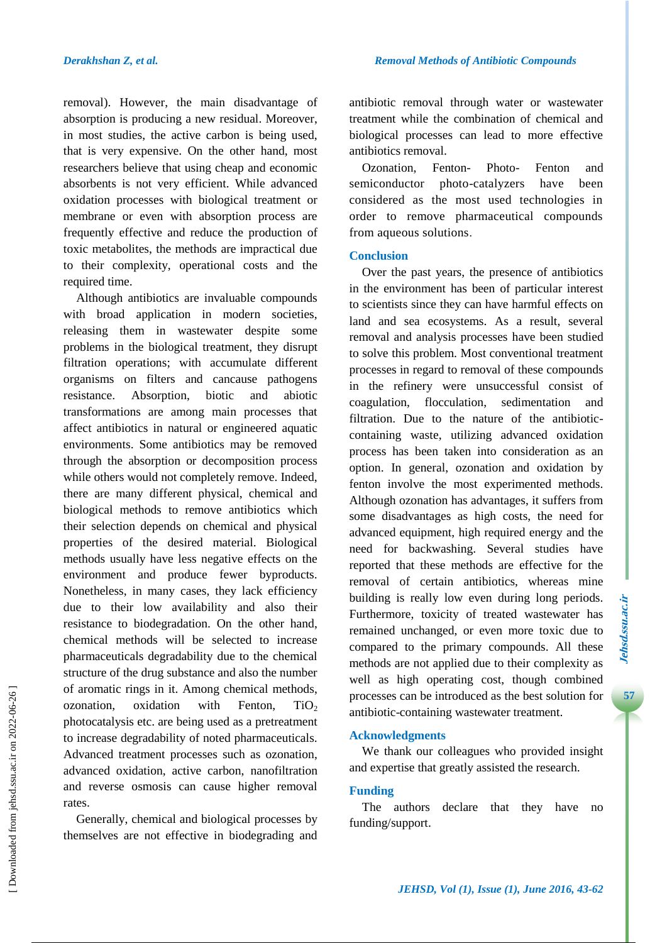removal). However, the main disadvantage of absorption is producing a new residual. Moreover, in most studies, the active carbon is being used, that is very expensive. On the other hand, most researchers believe that using cheap and economic absorbents is not very efficient. While advanced oxidation processes with biological treatment or membrane or even with absorption process are frequently effective and reduce the production of toxic metabolites, the methods are impractical due to their complexity, operational costs and the required time.

Although antibiotics are invaluable compounds with broad application in modern societies, releasing them in wastewater despite some problems in the biological treatment, they disrupt filtration operations; with accumulate different organisms on filters and cancause pathogens resistance. Absorption, biotic and abiotic transformations are among main processes that affect antibiotics in natural or engineered aquatic environments. Some antibiotics may be removed through the absorption or decomposition process while others would not completely remove. Indeed, there are many different physical, chemical and biological methods to remove antibiotics which their selection depends on chemical and physical properties of the desired material. Biological methods usually have less negative effects on the environment and produce fewer byproducts. Nonetheless, in many cases, they lack efficiency due to their low availability and also their resistance to biodegradation. On the other hand, chemical methods will be selected to increase pharmaceuticals degradability due to the chemical structure of the drug substance and also the number of aromatic rings in it. Among chemical methods, ozonation, oxidation with Fenton,  $TiO<sub>2</sub>$ photocatalysis etc. are being used as a pretreatment to increase degradability of noted pharmaceuticals. Advanced treatment processes such as ozonation, advanced oxidation, active carbon, nanofiltration and reverse osmosis can cause higher removal rates.

Generally, chemical and biological processes by themselves are not effective in biodegrading and antibiotic removal through water or wastewater treatment while the combination of chemical and biological processes can lead to more effective antibiotics removal.

Ozonation, Fenton- Photo- Fenton and semiconductor photo-catalyzers have been considered as the most used technologies in order to remove pharmaceutical compounds from aqueous solutions.

## **Conclusion**

Over the past years, the presence of antibiotics in the environment has been of particular interest to scientists since they can have harmful effects on land and sea ecosystems. As a result, several removal and analysis processes have been studied to solve this problem. Most conventional treatment processes in regard to removal of these compounds in the refinery were unsuccessful consist of coagulation, flocculation, sedimentation and filtration. Due to the nature of the antibioticcontaining waste, utilizing advanced oxidation process has been taken into consideration as an option. In general, ozonation and oxidation by fenton involve the most experimented methods. Although ozonation has advantages, it suffers from some disadvantages as high costs, the need for advanced equipment, high required energy and the need for backwashing. Several studies have reported that these methods are effective for the removal of certain antibiotics, whereas mine building is really low even during long periods. Furthermore, toxicity of treated wastewater has remained unchanged, or even more toxic due to compared to the primary compounds. All these methods are not applied due to their complexity as well as high operating cost, though combined processes can be introduced as the best solution for antibiotic-containing wastewater treatment.

# **Acknowledgments**

We thank our colleagues who provided insight and expertise that greatly assisted the research.

# **Funding**

The authors declare that they have no funding/support.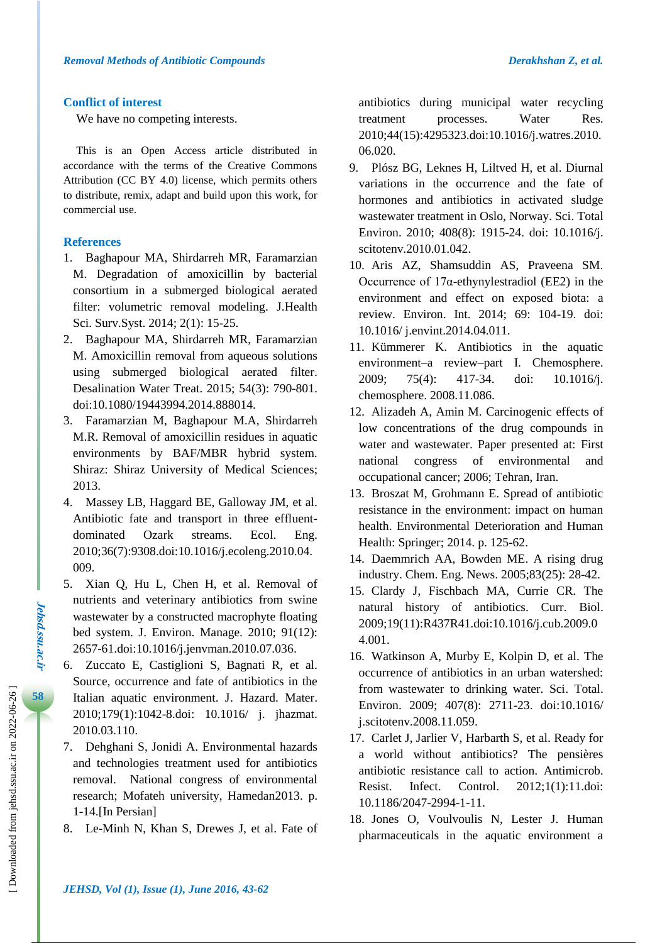#### **Conflict of interest**

We have no competing interests.

This is an Open Access article distributed in accordance with the terms of the Creative Commons Attribution (CC BY 4.0) license, which permits others to distribute, remix, adapt and build upon this work, for commercial use.

#### **References**

- 1. Baghapour MA, Shirdarreh MR, Faramarzian M. Degradation of amoxicillin by bacterial consortium in a submerged biological aerated filter: volumetric removal modeling. J.Health Sci. Surv.Syst. 2014; 2(1): 15-25.
- 2. Baghapour MA, Shirdarreh MR, Faramarzian M. Amoxicillin removal from aqueous solutions using submerged biological aerated filter. Desalination Water Treat. 2015; 54(3): 790-801. doi:10.1080/19443994.2014.888014.
- 3. Faramarzian M, Baghapour M.A, Shirdarreh M.R. Removal of amoxicillin residues in aquatic environments by BAF/MBR hybrid system. Shiraz: Shiraz University of Medical Sciences; 2013.
- 4. Massey LB, Haggard BE, Galloway JM, et al. Antibiotic fate and transport in three effluentdominated Ozark streams. Ecol. Eng. 2010;36(7):9308.doi:10.1016/j.ecoleng.2010.04. 009.
- 5. Xian Q, Hu L, Chen H, et al. Removal of nutrients and veterinary antibiotics from swine wastewater by a constructed macrophyte floating bed system. J. Environ. Manage. 2010; 91(12): 2657-61.doi:10.1016/j.jenvman.2010.07.036.
- 6. Zuccato E, Castiglioni S, Bagnati R, et al. Source, occurrence and fate of antibiotics in the Italian aquatic environment. J. Hazard. Mater. 2010;179(1):1042-8.doi: 10.1016/ j. jhazmat. 2010.03.110.
- 7. Dehghani S, Jonidi A. Environmental hazards and technologies treatment used for antibiotics removal. National congress of environmental research; Mofateh university, Hamedan2013. p. 1-14.[In Persian]
- 8. Le-Minh N, Khan S, Drewes J, et al. Fate of

antibiotics during municipal water recycling treatment processes. Water Res. 2010;44(15):4295323.doi:10.1016/j.watres.2010. 06.020.

- 9. Plósz BG, Leknes H, Liltved H, et al. Diurnal variations in the occurrence and the fate of hormones and antibiotics in activated sludge wastewater treatment in Oslo, Norway. Sci. Total Environ. 2010; 408(8): 1915-24. doi: 10.1016/j. scitotenv.2010.01.042.
- 10. Aris AZ, Shamsuddin AS, Praveena SM. Occurrence of 17α-ethynylestradiol (EE2) in the environment and effect on exposed biota: a review. Environ. Int. 2014; 69: 104-19. doi: 10.1016/ j.envint.2014.04.011.
- 11. Kümmerer K. Antibiotics in the aquatic environment–a review–part I. Chemosphere. 2009; 75(4): 417-34. doi: 10.1016/j. chemosphere. 2008.11.086.
- 12. Alizadeh A, Amin M. Carcinogenic effects of low concentrations of the drug compounds in water and wastewater. Paper presented at: First national congress of environmental and occupational cancer; 2006; Tehran, Iran.
- 13. Broszat M, Grohmann E. Spread of antibiotic resistance in the environment: impact on human health. Environmental Deterioration and Human Health: Springer; 2014. p. 125-62.
- 14. Daemmrich AA, Bowden ME. A rising drug industry. Chem. Eng. News. 2005;83(25): 28-42.
- 15. Clardy J, Fischbach MA, Currie CR. The natural history of antibiotics. Curr. Biol. 2009;19(11):R437R41.doi:10.1016/j.cub.2009.0 4.001.
- 16. Watkinson A, Murby E, Kolpin D, et al. The occurrence of antibiotics in an urban watershed: from wastewater to drinking water. Sci. Total. Environ. 2009; 407(8): 2711-23. doi:10.1016/ j.scitotenv.2008.11.059.
- 17. Carlet J, Jarlier V, Harbarth S, et al. Ready for a world without antibiotics? The pensières antibiotic resistance call to action. Antimicrob. Resist. Infect. Control. 2012;1(1):11.doi: 10.1186/2047-2994-1-11.
- 18. Jones O, Voulvoulis N, Lester J. Human pharmaceuticals in the aquatic environment a

**Jehsd.ssu.ac.ir**

**Jehsd.SSu.ac.Ir**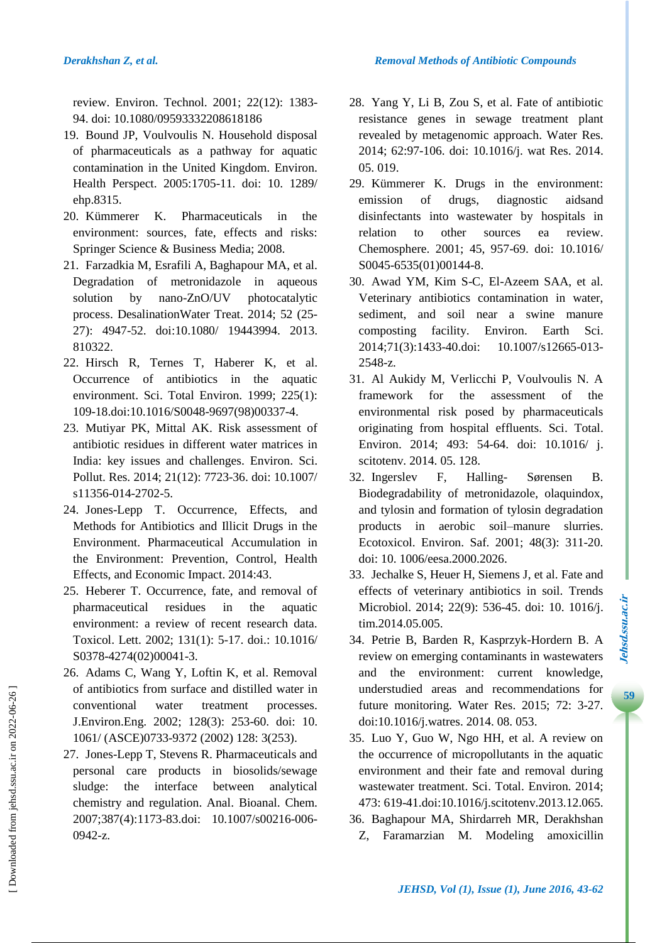review. Environ. Technol. 2001; 22(12): 1383- 94. doi: 10.1080/09593332208618186

- 19. Bound JP, Voulvoulis N. Household disposal of pharmaceuticals as a pathway for aquatic contamination in the United Kingdom. Environ. Health Perspect. 2005:1705-11. doi: 10. 1289/ ehp.8315.
- 20. Kümmerer K. Pharmaceuticals in the environment: sources, fate, effects and risks: Springer Science & Business Media; 2008.
- 21. Farzadkia M, Esrafili A, Baghapour MA, et al. Degradation of metronidazole in aqueous solution by nano-ZnO/UV photocatalytic process. DesalinationWater Treat. 2014; 52 (25- 27): 4947-52. doi:10.1080/ 19443994. 2013. 810322.
- 22. Hirsch R, Ternes T, Haberer K, et al. Occurrence of antibiotics in the aquatic environment. Sci. Total Environ. 1999; 225(1): 109-18.doi:10.1016/S0048-9697(98)00337-4.
- 23. Mutiyar PK, Mittal AK. Risk assessment of antibiotic residues in different water matrices in India: key issues and challenges. Environ. Sci. Pollut. Res. 2014; 21(12): 7723-36. doi: 10.1007/ s11356-014-2702-5.
- 24. Jones-Lepp T. Occurrence, Effects, and Methods for Antibiotics and Illicit Drugs in the Environment. Pharmaceutical Accumulation in the Environment: Prevention, Control, Health Effects, and Economic Impact. 2014:43.
- 25. Heberer T. Occurrence, fate, and removal of pharmaceutical residues in the aquatic environment: a review of recent research data. Toxicol. Lett. 2002; 131(1): 5-17. doi.: 10.1016/ S0378-4274(02)00041-3.
- 26. Adams C, Wang Y, Loftin K, et al. Removal of antibiotics from surface and distilled water in conventional water treatment processes. J.Environ.Eng. 2002; 128(3): 253-60. doi: 10. 1061/ (ASCE)0733-9372 (2002) 128: 3(253).
- 27. Jones-Lepp T, Stevens R. Pharmaceuticals and personal care products in biosolids/sewage sludge: the interface between analytical chemistry and regulation. Anal. Bioanal. Chem. 2007;387(4):1173-83.doi: 10.1007/s00216-006- 0942-z.
- 28. Yang Y, Li B, Zou S, et al. Fate of antibiotic resistance genes in sewage treatment plant revealed by metagenomic approach. Water Res. 2014; 62:97-106. doi: 10.1016/j. wat Res. 2014. 05. 019.
- 29. Kümmerer K. Drugs in the environment: emission of drugs, diagnostic aidsand disinfectants into wastewater by hospitals in relation to other sources ea review. Chemosphere. 2001; 45, 957-69. doi: 10.1016/ S0045-6535(01)00144-8.
- 30. Awad YM, Kim S-C, El-Azeem SAA, et al. Veterinary antibiotics contamination in water, sediment, and soil near a swine manure composting facility. Environ. Earth Sci. 2014;71(3):1433-40.doi: 10.1007/s12665-013- 2548-z.
- 31. Al Aukidy M, Verlicchi P, Voulvoulis N. A framework for the assessment of the environmental risk posed by pharmaceuticals originating from hospital effluents. Sci. Total. Environ. 2014; 493: 54-64. doi: 10.1016/ j. scitotenv. 2014. 05. 128.
- 32. Ingerslev F, Halling- Sørensen B. Biodegradability of metronidazole, olaquindox, and tylosin and formation of tylosin degradation products in aerobic soil–manure slurries. Ecotoxicol. Environ. Saf. 2001; 48(3): 311-20. doi: 10. 1006/eesa.2000.2026.
- 33. Jechalke S, Heuer H, Siemens J, et al. Fate and effects of veterinary antibiotics in soil. Trends Microbiol. 2014; 22(9): 536-45. doi: 10. 1016/j. tim.2014.05.005.
- 34. Petrie B, Barden R, Kasprzyk-Hordern B. A review on emerging contaminants in wastewaters and the environment: current knowledge, understudied areas and recommendations for future monitoring. Water Res. 2015; 72: 3-27. doi:10.1016/j.watres. 2014. 08. 053.
- 35. Luo Y, Guo W, Ngo HH, et al. A review on the occurrence of micropollutants in the aquatic environment and their fate and removal during wastewater treatment. Sci. Total. Environ. 2014; 473: 619-41.doi:10.1016/j.scitotenv.2013.12.065.
- 36. Baghapour MA, Shirdarreh MR, Derakhshan Z, Faramarzian M. Modeling amoxicillin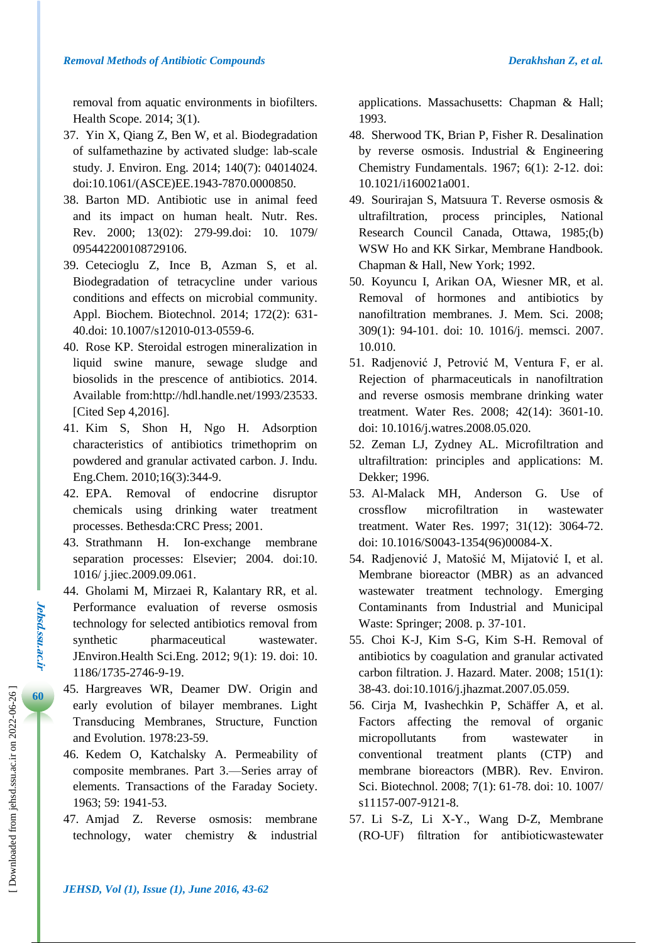removal from aquatic environments in biofilters. Health Scope. 2014; 3(1).

- 37. Yin X, Qiang Z, Ben W, et al. Biodegradation of sulfamethazine by activated sludge: lab-scale study. J. Environ. Eng. 2014; 140(7): 04014024. doi:10.1061/(ASCE)EE.1943-7870.0000850.
- 38. Barton MD. Antibiotic use in animal feed and its impact on human healt. Nutr. Res. Rev. 2000; 13(02): 279-99.doi: 10. 1079/ 095442200108729106.
- 39. Cetecioglu Z, Ince B, Azman S, et al. Biodegradation of tetracycline under various conditions and effects on microbial community. Appl. Biochem. Biotechnol. 2014; 172(2): 631- 40.doi: 10.1007/s12010-013-0559-6.
- 40. Rose KP. Steroidal estrogen mineralization in liquid swine manure, sewage sludge and biosolids in the prescence of antibiotics. 2014. Available from[:http://hdl.handle.net/1993/23533.](http://hdl.handle.net/1993/23533) [Cited Sep 4,2016].
- 41. Kim S, Shon H, Ngo H. Adsorption characteristics of antibiotics trimethoprim on powdered and granular activated carbon. J. Indu. Eng.Chem. 2010;16(3):344-9.
- 42. EPA. Removal of endocrine disruptor chemicals using drinking water treatment processes. Bethesda:CRC Press; 2001.
- 43. Strathmann H. Ion-exchange membrane separation processes: Elsevier; 2004. doi:10. 1016/ j.jiec.2009.09.061.
- 44. Gholami M, Mirzaei R, Kalantary RR, et al. Performance evaluation of reverse osmosis technology for selected antibiotics removal from synthetic pharmaceutical wastewater. JEnviron.Health Sci.Eng. 2012; 9(1): 19. doi: 10. 1186/1735-2746-9-19.
- 45. Hargreaves WR, Deamer DW. Origin and early evolution of bilayer membranes. Light Transducing Membranes, Structure, Function and Evolution. 1978:23-59.
- 46. Kedem O, Katchalsky A. Permeability of composite membranes. Part 3.—Series array of elements. Transactions of the Faraday Society. 1963; 59: 1941-53.
- 47. Amjad Z. Reverse osmosis: membrane technology, water chemistry & industrial

applications. Massachusetts: Chapman & Hall; 1993.

- 48. Sherwood TK, Brian P, Fisher R. Desalination by reverse osmosis. Industrial & Engineering Chemistry Fundamentals. 1967; 6(1): 2-12. doi: 10.1021/i160021a001.
- 49. Sourirajan S, Matsuura T. Reverse osmosis & ultrafiltration, process principles, National Research Council Canada, Ottawa, 1985;(b) WSW Ho and KK Sirkar, Membrane Handbook. Chapman & Hall, New York; 1992.
- 50. Koyuncu I, Arikan OA, Wiesner MR, et al. Removal of hormones and antibiotics by nanofiltration membranes. J. Mem. Sci. 2008; 309(1): 94-101. doi: 10. 1016/j. memsci. 2007. 10.010.
- 51. Radjenović J, Petrović M, Ventura F, er al. Rejection of pharmaceuticals in nanofiltration and reverse osmosis membrane drinking water treatment. Water Res. 2008; 42(14): 3601-10. doi: 10.1016/j.watres.2008.05.020.
- 52. Zeman LJ, Zydney AL. Microfiltration and ultrafiltration: principles and applications: M. Dekker; 1996.
- 53. Al-Malack MH, Anderson G. Use of crossflow microfiltration in wastewater treatment. Water Res. 1997; 31(12): 3064-72. doi: 10.1016/S0043-1354(96)00084-X.
- 54. Radjenović J, Matošić M, Mijatović I, et al. Membrane bioreactor (MBR) as an advanced wastewater treatment technology. Emerging Contaminants from Industrial and Municipal Waste: Springer; 2008. p. 37-101.
- 55. Choi K-J, Kim S-G, Kim S-H. Removal of antibiotics by coagulation and granular activated carbon filtration. J. Hazard. Mater. 2008; 151(1): 38-43. doi:10.1016/j.jhazmat.2007.05.059.
- 56. Cirja M, Ivashechkin P, Schäffer A, et al. Factors affecting the removal of organic micropollutants from wastewater in conventional treatment plants (CTP) and membrane bioreactors (MBR). Rev. Environ. Sci. Biotechnol. 2008; 7(1): 61-78. doi: 10. 1007/ s11157-007-9121-8.
- 57. Li S-Z, Li X-Y., Wang D-Z, Membrane (RO-UF) filtration for antibioticwastewater

**Jehsd.ssu.ac.ir**

*Jehsd.ssu.ac.ir*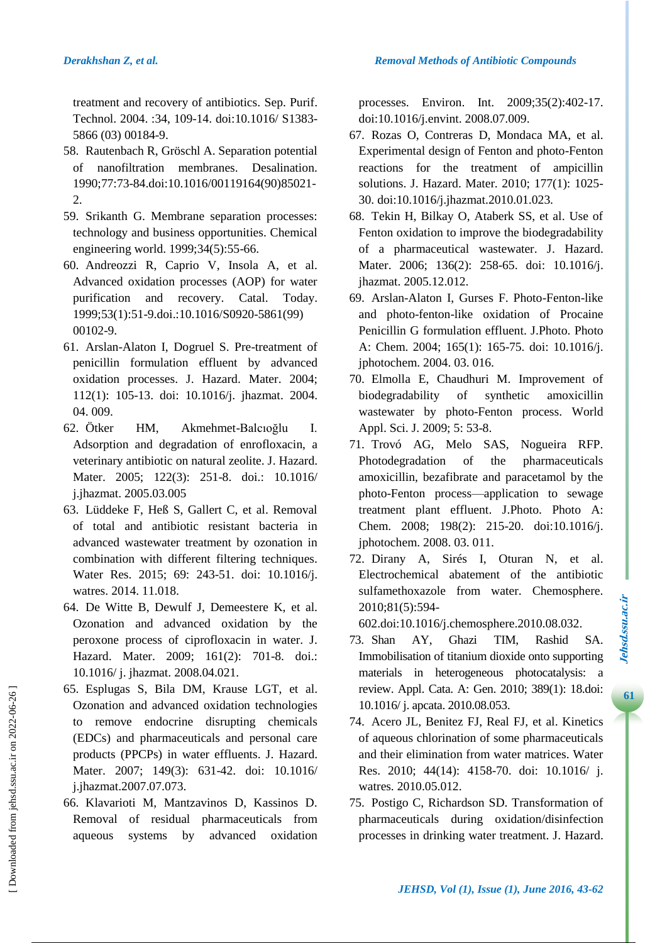treatment and recovery of antibiotics. Sep. Purif. Technol. 2004. :34, 109-14. doi:10.1016/ S1383- 5866 (03) 00184-9.

- 58. Rautenbach R, Gröschl A. Separation potential of nanofiltration membranes. Desalination. 1990;77:73-84.doi:10.1016/00119164(90)85021- 2.
- 59. Srikanth G. Membrane separation processes: technology and business opportunities. Chemical engineering world. 1999;34(5):55-66.
- 60. Andreozzi R, Caprio V, Insola A, et al. Advanced oxidation processes (AOP) for water purification and recovery. Catal. Today. 1999;53(1):51-9.doi.:10.1016/S0920-5861(99) 00102-9.
- 61. Arslan-Alaton I, Dogruel S. Pre-treatment of penicillin formulation effluent by advanced oxidation processes. J. Hazard. Mater. 2004; 112(1): 105-13. doi: 10.1016/j. jhazmat. 2004. 04. 009.
- 62. Ötker HM, Akmehmet-Balcıoğlu I. Adsorption and degradation of enrofloxacin, a veterinary antibiotic on natural zeolite. J. Hazard. Mater. 2005; 122(3): 251-8. doi.: 10.1016/ j.jhazmat. 2005.03.005
- 63. Lüddeke F, Heß S, Gallert C, et al. Removal of total and antibiotic resistant bacteria in advanced wastewater treatment by ozonation in combination with different filtering techniques. Water Res. 2015; 69: 243-51. doi: 10.1016/j. watres. 2014. 11.018.
- 64. De Witte B, Dewulf J, Demeestere K, et al. Ozonation and advanced oxidation by the peroxone process of ciprofloxacin in water. J. Hazard. Mater. 2009; 161(2): 701-8. doi.: 10.1016/ j. jhazmat. 2008.04.021.
- 65. Esplugas S, Bila DM, Krause LGT, et al. Ozonation and advanced oxidation technologies to remove endocrine disrupting chemicals (EDCs) and pharmaceuticals and personal care products (PPCPs) in water effluents. J. Hazard. Mater. 2007; 149(3): 631-42. doi: 10.1016/ j.jhazmat.2007.07.073.
- 66. Klavarioti M, Mantzavinos D, Kassinos D. Removal of residual pharmaceuticals from aqueous systems by advanced oxidation

processes. Environ. Int. 2009;35(2):402-17. doi:10.1016/j.envint. 2008.07.009.

- 67. Rozas O, Contreras D, Mondaca MA, et al. Experimental design of Fenton and photo-Fenton reactions for the treatment of ampicillin solutions. J. Hazard. Mater. 2010; 177(1): 1025- 30. doi:10.1016/j.jhazmat.2010.01.023.
- 68. Tekin H, Bilkay O, Ataberk SS, et al. Use of Fenton oxidation to improve the biodegradability of a pharmaceutical wastewater. J. Hazard. Mater. 2006; 136(2): 258-65. doi: 10.1016/j. jhazmat. 2005.12.012.
- 69. Arslan-Alaton I, Gurses F. Photo-Fenton-like and photo-fenton-like oxidation of Procaine Penicillin G formulation effluent. J.Photo. Photo A: Chem. 2004; 165(1): 165-75. doi: 10.1016/j. jphotochem. 2004. 03. 016.
- 70. Elmolla E, Chaudhuri M. Improvement of biodegradability of synthetic amoxicillin wastewater by photo-Fenton process. World Appl. Sci. J. 2009; 5: 53-8.
- 71. Trovó AG, Melo SAS, Nogueira RFP. Photodegradation of the pharmaceuticals amoxicillin, bezafibrate and paracetamol by the photo-Fenton process—application to sewage treatment plant effluent. J.Photo. Photo A: Chem. 2008; 198(2): 215-20. doi:10.1016/j. jphotochem. 2008. 03. 011.
- 72. Dirany A, Sirés I, Oturan N, et al. Electrochemical abatement of the antibiotic sulfamethoxazole from water. Chemosphere. 2010;81(5):594-

602.doi:10.1016/j.chemosphere.2010.08.032.

- 73. Shan AY, Ghazi TIM, Rashid SA. Immobilisation of titanium dioxide onto supporting materials in heterogeneous photocatalysis: a review. Appl. Cata. A: Gen. 2010; 389(1): 18.doi: 10.1016/ j. apcata. 2010.08.053.
- 74. Acero JL, Benitez FJ, Real FJ, et al. Kinetics of aqueous chlorination of some pharmaceuticals and their elimination from water matrices. Water Res. 2010; 44(14): 4158-70. doi: 10.1016/ j. watres. 2010.05.012.
- 75. Postigo C, Richardson SD. Transformation of pharmaceuticals during oxidation/disinfection processes in drinking water treatment. J. Hazard.